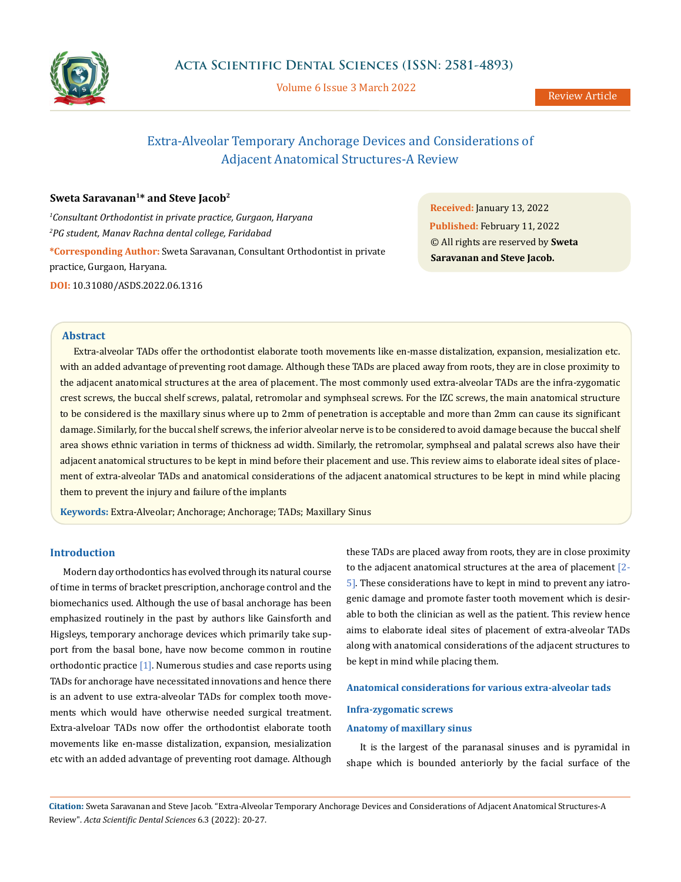

Volume 6 Issue 3 March 2022

# Extra-Alveolar Temporary Anchorage Devices and Considerations of Adjacent Anatomical Structures-A Review

# **Sweta Saravanan1\* and Steve Jacob2**

*1 Consultant Orthodontist in private practice, Gurgaon, Haryana 2 PG student, Manav Rachna dental college, Faridabad* **\*Corresponding Author:** Sweta Saravanan, Consultant Orthodontist in private practice, Gurgaon, Haryana. **DOI:** [10.31080/ASDS.2022.06.131](https://actascientific.com/ASDS/pdf/ASDS-06-1316.pdf)6

**Received:** January 13, 2022 **Published:** February 11, 2022 © All rights are reserved by **Sweta Saravanan and Steve Jacob.**

# **Abstract**

Extra-alveolar TADs offer the orthodontist elaborate tooth movements like en-masse distalization, expansion, mesialization etc. with an added advantage of preventing root damage. Although these TADs are placed away from roots, they are in close proximity to the adjacent anatomical structures at the area of placement. The most commonly used extra-alveolar TADs are the infra-zygomatic crest screws, the buccal shelf screws, palatal, retromolar and symphseal screws. For the IZC screws, the main anatomical structure to be considered is the maxillary sinus where up to 2mm of penetration is acceptable and more than 2mm can cause its significant damage. Similarly, for the buccal shelf screws, the inferior alveolar nerve is to be considered to avoid damage because the buccal shelf area shows ethnic variation in terms of thickness ad width. Similarly, the retromolar, symphseal and palatal screws also have their adjacent anatomical structures to be kept in mind before their placement and use. This review aims to elaborate ideal sites of placement of extra-alveolar TADs and anatomical considerations of the adjacent anatomical structures to be kept in mind while placing them to prevent the injury and failure of the implants

**Keywords:** Extra-Alveolar; Anchorage; Anchorage; TADs; Maxillary Sinus

## **Introduction**

Modern day orthodontics has evolved through its natural course of time in terms of bracket prescription, anchorage control and the biomechanics used. Although the use of basal anchorage has been emphasized routinely in the past by authors like Gainsforth and Higsleys, temporary anchorage devices which primarily take support from the basal bone, have now become common in routine orthodontic practice  $[1]$ . Numerous studies and case reports using TADs for anchorage have necessitated innovations and hence there is an advent to use extra-alveolar TADs for complex tooth movements which would have otherwise needed surgical treatment. Extra-alveloar TADs now offer the orthodontist elaborate tooth movements like en-masse distalization, expansion, mesialization etc with an added advantage of preventing root damage. Although these TADs are placed away from roots, they are in close proximity to the adjacent anatomical structures at the area of placement [2- 5]. These considerations have to kept in mind to prevent any iatrogenic damage and promote faster tooth movement which is desirable to both the clinician as well as the patient. This review hence aims to elaborate ideal sites of placement of extra-alveolar TADs along with anatomical considerations of the adjacent structures to be kept in mind while placing them.

#### **Anatomical considerations for various extra-alveolar tads**

#### **Infra-zygomatic screws**

#### **Anatomy of maxillary sinus**

It is the largest of the paranasal sinuses and is pyramidal in shape which is bounded anteriorly by the facial surface of the

**Citation:** Sweta Saravanan and Steve Jacob*.* "Extra-Alveolar Temporary Anchorage Devices and Considerations of Adjacent Anatomical Structures-A Review". *Acta Scientific Dental Sciences* 6.3 (2022): 20-27.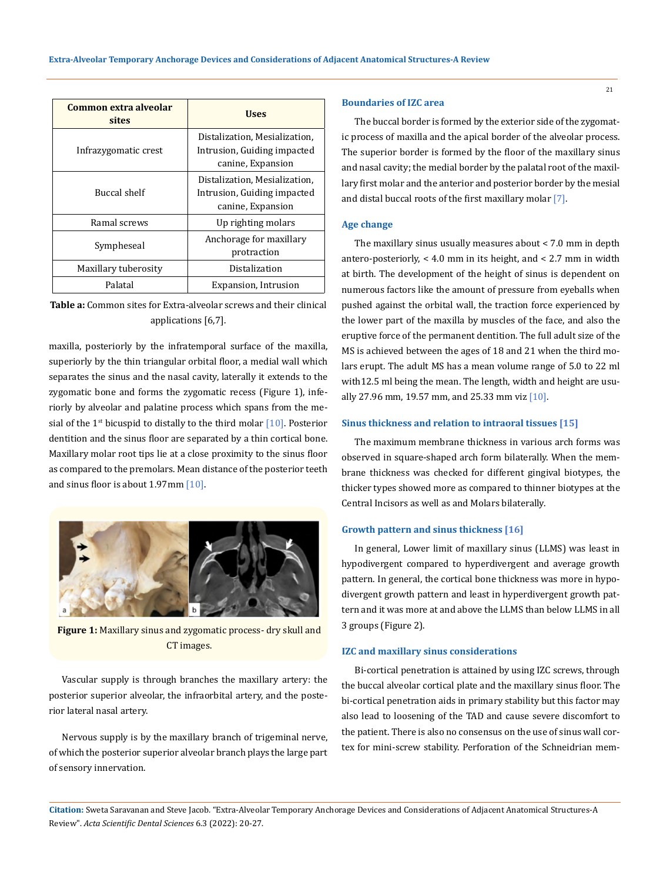| Common extra alveolar<br>sites | <b>Uses</b>                                                                       |
|--------------------------------|-----------------------------------------------------------------------------------|
| Infrazygomatic crest           | Distalization, Mesialization,<br>Intrusion, Guiding impacted<br>canine, Expansion |
| Buccal shelf                   | Distalization, Mesialization,<br>Intrusion, Guiding impacted<br>canine, Expansion |
| Ramal screws                   | Up righting molars                                                                |
| Sympheseal                     | Anchorage for maxillary<br>protraction                                            |
| Maxillary tuberosity           | Distalization                                                                     |
| Palatal                        | Expansion, Intrusion                                                              |

**Table a:** Common sites for Extra-alveolar screws and their clinical applications [6,7].

maxilla, posteriorly by the infratemporal surface of the maxilla, superiorly by the thin triangular orbital floor, a medial wall which separates the sinus and the nasal cavity, laterally it extends to the zygomatic bone and forms the zygomatic recess (Figure 1), inferiorly by alveolar and palatine process which spans from the mesial of the  $1^{st}$  bicuspid to distally to the third molar  $[10]$ . Posterior dentition and the sinus floor are separated by a thin cortical bone. Maxillary molar root tips lie at a close proximity to the sinus floor as compared to the premolars. Mean distance of the posterior teeth and sinus floor is about 1.97mm [10].



**Figure 1:** Maxillary sinus and zygomatic process- dry skull and CT images.

Vascular supply is through branches the maxillary artery: the posterior superior alveolar, the infraorbital artery, and the posterior lateral nasal artery.

Nervous supply is by the maxillary branch of trigeminal nerve, of which the posterior superior alveolar branch plays the large part of sensory innervation.

# **Boundaries of IZC area**

The buccal border is formed by the exterior side of the zygomatic process of maxilla and the apical border of the alveolar process. The superior border is formed by the floor of the maxillary sinus and nasal cavity; the medial border by the palatal root of the maxillary first molar and the anterior and posterior border by the mesial and distal buccal roots of the first maxillary molar [7].

# **Age change**

The maxillary sinus usually measures about < 7.0 mm in depth antero-posteriorly, < 4.0 mm in its height, and < 2.7 mm in width at birth. The development of the height of sinus is dependent on numerous factors like the amount of pressure from eyeballs when pushed against the orbital wall, the traction force experienced by the lower part of the maxilla by muscles of the face, and also the eruptive force of the permanent dentition. The full adult size of the MS is achieved between the ages of 18 and 21 when the third molars erupt. The adult MS has a mean volume range of 5.0 to 22 ml with12.5 ml being the mean. The length, width and height are usually 27.96 mm, 19.57 mm, and 25.33 mm viz  $[10]$ .

#### **Sinus thickness and relation to intraoral tissues [15]**

The maximum membrane thickness in various arch forms was observed in square-shaped arch form bilaterally. When the membrane thickness was checked for different gingival biotypes, the thicker types showed more as compared to thinner biotypes at the Central Incisors as well as and Molars bilaterally.

### **Growth pattern and sinus thickness [16]**

In general, Lower limit of maxillary sinus (LLMS) was least in hypodivergent compared to hyperdivergent and average growth pattern. In general, the cortical bone thickness was more in hypodivergent growth pattern and least in hyperdivergent growth pattern and it was more at and above the LLMS than below LLMS in all 3 groups (Figure 2).

#### **IZC and maxillary sinus considerations**

Bi-cortical penetration is attained by using IZC screws, through the buccal alveolar cortical plate and the maxillary sinus floor. The bi-cortical penetration aids in primary stability but this factor may also lead to loosening of the TAD and cause severe discomfort to the patient. There is also no consensus on the use of sinus wall cortex for mini-screw stability. Perforation of the Schneidrian mem-

**Citation:** Sweta Saravanan and Steve Jacob*.* "Extra-Alveolar Temporary Anchorage Devices and Considerations of Adjacent Anatomical Structures-A Review". *Acta Scientific Dental Sciences* 6.3 (2022): 20-27.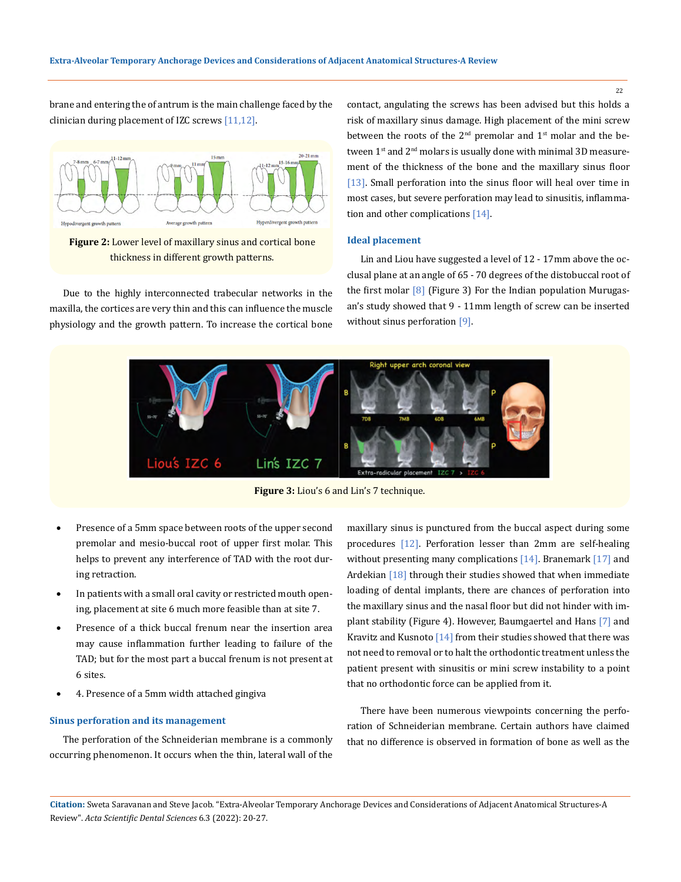brane and entering the of antrum is the main challenge faced by the clinician during placement of IZC screws [11,12].



**Figure 2:** Lower level of maxillary sinus and cortical bone thickness in different growth patterns.

Due to the highly interconnected trabecular networks in the maxilla, the cortices are very thin and this can influence the muscle physiology and the growth pattern. To increase the cortical bone contact, angulating the screws has been advised but this holds a risk of maxillary sinus damage. High placement of the mini screw between the roots of the 2<sup>nd</sup> premolar and 1<sup>st</sup> molar and the between 1<sup>st</sup> and 2<sup>nd</sup> molars is usually done with minimal 3D measurement of the thickness of the bone and the maxillary sinus floor [13]. Small perforation into the sinus floor will heal over time in most cases, but severe perforation may lead to sinusitis, inflammation and other complications [14].

#### **Ideal placement**

Lin and Liou have suggested a level of 12 - 17mm above the occlusal plane at an angle of 65 - 70 degrees of the distobuccal root of the first molar  $[8]$  (Figure 3) For the Indian population Murugasan's study showed that 9 - 11mm length of screw can be inserted without sinus perforation [9].



**Figure 3:** Liou's 6 and Lin's 7 technique.

- Presence of a 5mm space between roots of the upper second premolar and mesio-buccal root of upper first molar. This helps to prevent any interference of TAD with the root during retraction.
- In patients with a small oral cavity or restricted mouth opening, placement at site 6 much more feasible than at site 7.
- Presence of a thick buccal frenum near the insertion area may cause inflammation further leading to failure of the TAD; but for the most part a buccal frenum is not present at 6 sites.
- 4. Presence of a 5mm width attached gingiva

# **Sinus perforation and its management**

The perforation of the Schneiderian membrane is a commonly occurring phenomenon. It occurs when the thin, lateral wall of the maxillary sinus is punctured from the buccal aspect during some procedures [12]. Perforation lesser than 2mm are self-healing without presenting many complications [14]. Branemark [17] and Ardekian <a>[18]</a> through their studies showed that when immediate loading of dental implants, there are chances of perforation into the maxillary sinus and the nasal floor but did not hinder with implant stability (Figure 4). However, Baumgaertel and Hans [7] and Kravitz and Kusnoto [14] from their studies showed that there was not need to removal or to halt the orthodontic treatment unless the patient present with sinusitis or mini screw instability to a point that no orthodontic force can be applied from it.

There have been numerous viewpoints concerning the perforation of Schneiderian membrane. Certain authors have claimed that no difference is observed in formation of bone as well as the

**Citation:** Sweta Saravanan and Steve Jacob*.* "Extra-Alveolar Temporary Anchorage Devices and Considerations of Adjacent Anatomical Structures-A Review". *Acta Scientific Dental Sciences* 6.3 (2022): 20-27.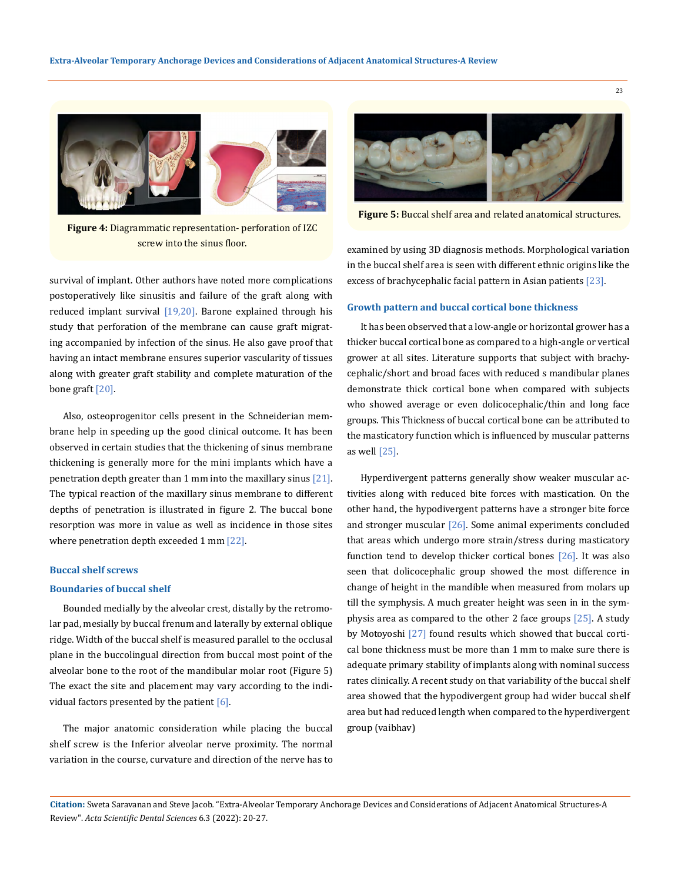

**Figure 4:** Diagrammatic representation- perforation of IZC screw into the sinus floor.

survival of implant. Other authors have noted more complications postoperatively like sinusitis and failure of the graft along with reduced implant survival [19,20]. Barone explained through his study that perforation of the membrane can cause graft migrating accompanied by infection of the sinus. He also gave proof that having an intact membrane ensures superior vascularity of tissues along with greater graft stability and complete maturation of the bone graft [20].

Also, osteoprogenitor cells present in the Schneiderian membrane help in speeding up the good clinical outcome. It has been observed in certain studies that the thickening of sinus membrane thickening is generally more for the mini implants which have a penetration depth greater than 1 mm into the maxillary sinus [21]. The typical reaction of the maxillary sinus membrane to different depths of penetration is illustrated in figure 2. The buccal bone resorption was more in value as well as incidence in those sites where penetration depth exceeded 1 mm [22].

#### **Buccal shelf screws**

#### **Boundaries of buccal shelf**

Bounded medially by the alveolar crest, distally by the retromolar pad, mesially by buccal frenum and laterally by external oblique ridge. Width of the buccal shelf is measured parallel to the occlusal plane in the buccolingual direction from buccal most point of the alveolar bone to the root of the mandibular molar root (Figure 5) The exact the site and placement may vary according to the individual factors presented by the patient [6].

The major anatomic consideration while placing the buccal shelf screw is the Inferior alveolar nerve proximity. The normal variation in the course, curvature and direction of the nerve has to



**Figure 5:** Buccal shelf area and related anatomical structures.

examined by using 3D diagnosis methods. Morphological variation in the buccal shelf area is seen with different ethnic origins like the excess of brachycephalic facial pattern in Asian patients [23].

#### **Growth pattern and buccal cortical bone thickness**

It has been observed that a low-angle or horizontal grower has a thicker buccal cortical bone as compared to a high-angle or vertical grower at all sites. Literature supports that subject with brachycephalic/short and broad faces with reduced s mandibular planes demonstrate thick cortical bone when compared with subjects who showed average or even dolicocephalic/thin and long face groups. This Thickness of buccal cortical bone can be attributed to the masticatory function which is influenced by muscular patterns as well [25].

Hyperdivergent patterns generally show weaker muscular activities along with reduced bite forces with mastication. On the other hand, the hypodivergent patterns have a stronger bite force and stronger muscular [26]. Some animal experiments concluded that areas which undergo more strain/stress during masticatory function tend to develop thicker cortical bones [26]. It was also seen that dolicocephalic group showed the most difference in change of height in the mandible when measured from molars up till the symphysis. A much greater height was seen in in the symphysis area as compared to the other 2 face groups [25]. A study by Motoyoshi [27] found results which showed that buccal cortical bone thickness must be more than 1 mm to make sure there is adequate primary stability of implants along with nominal success rates clinically. A recent study on that variability of the buccal shelf area showed that the hypodivergent group had wider buccal shelf area but had reduced length when compared to the hyperdivergent group (vaibhav)

**Citation:** Sweta Saravanan and Steve Jacob*.* "Extra-Alveolar Temporary Anchorage Devices and Considerations of Adjacent Anatomical Structures-A Review". *Acta Scientific Dental Sciences* 6.3 (2022): 20-27.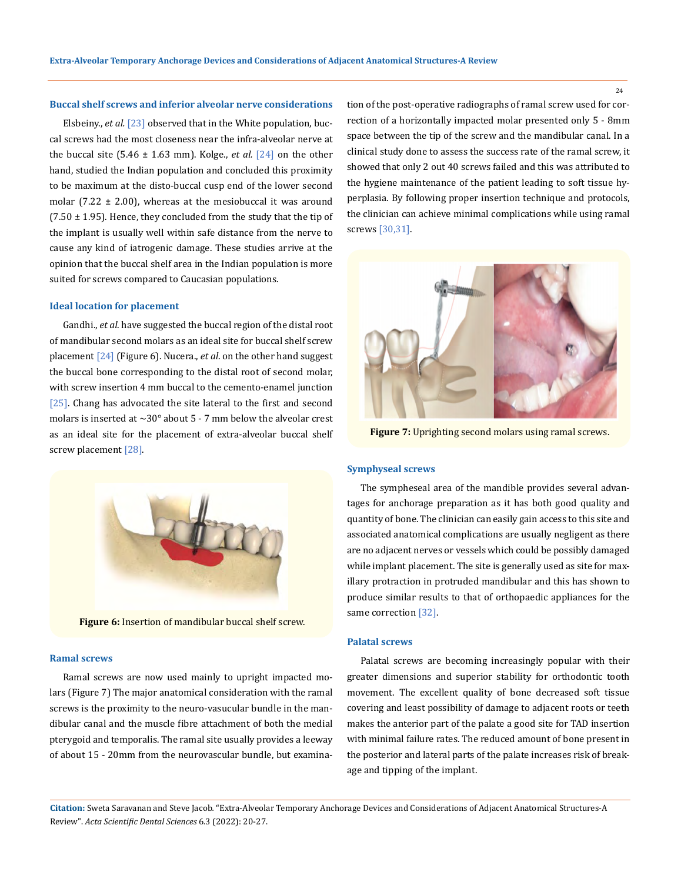# **Buccal shelf screws and inferior alveolar nerve considerations**

Elsbeiny., *et al.* [23] observed that in the White population, buccal screws had the most closeness near the infra-alveolar nerve at the buccal site  $(5.46 \pm 1.63 \text{ mm})$ . Kolge., *et al.*  $[24]$  on the other hand, studied the Indian population and concluded this proximity to be maximum at the disto-buccal cusp end of the lower second molar  $(7.22 \pm 2.00)$ , whereas at the mesiobuccal it was around  $(7.50 \pm 1.95)$ . Hence, they concluded from the study that the tip of the implant is usually well within safe distance from the nerve to cause any kind of iatrogenic damage. These studies arrive at the opinion that the buccal shelf area in the Indian population is more suited for screws compared to Caucasian populations.

#### **Ideal location for placement**

Gandhi., *et al*. have suggested the buccal region of the distal root of mandibular second molars as an ideal site for buccal shelf screw placement [24] (Figure 6). Nucera., *et al*. on the other hand suggest the buccal bone corresponding to the distal root of second molar, with screw insertion 4 mm buccal to the cemento-enamel junction [25]. Chang has advocated the site lateral to the first and second molars is inserted at  $\sim$ 30° about 5 - 7 mm below the alveolar crest as an ideal site for the placement of extra-alveolar buccal shelf screw placement [28].



**Figure 6:** Insertion of mandibular buccal shelf screw.

#### **Ramal screws**

Ramal screws are now used mainly to upright impacted molars (Figure 7) The major anatomical consideration with the ramal screws is the proximity to the neuro-vasucular bundle in the mandibular canal and the muscle fibre attachment of both the medial pterygoid and temporalis. The ramal site usually provides a leeway of about 15 - 20mm from the neurovascular bundle, but examination of the post-operative radiographs of ramal screw used for correction of a horizontally impacted molar presented only 5 - 8mm space between the tip of the screw and the mandibular canal. In a clinical study done to assess the success rate of the ramal screw, it showed that only 2 out 40 screws failed and this was attributed to the hygiene maintenance of the patient leading to soft tissue hyperplasia. By following proper insertion technique and protocols, the clinician can achieve minimal complications while using ramal screws [30,31].



**Figure 7:** Uprighting second molars using ramal screws.

#### **Symphyseal screws**

The sympheseal area of the mandible provides several advantages for anchorage preparation as it has both good quality and quantity of bone. The clinician can easily gain access to this site and associated anatomical complications are usually negligent as there are no adjacent nerves or vessels which could be possibly damaged while implant placement. The site is generally used as site for maxillary protraction in protruded mandibular and this has shown to produce similar results to that of orthopaedic appliances for the same correction [32].

#### **Palatal screws**

Palatal screws are becoming increasingly popular with their greater dimensions and superior stability for orthodontic tooth movement. The excellent quality of bone decreased soft tissue covering and least possibility of damage to adjacent roots or teeth makes the anterior part of the palate a good site for TAD insertion with minimal failure rates. The reduced amount of bone present in the posterior and lateral parts of the palate increases risk of breakage and tipping of the implant.

**Citation:** Sweta Saravanan and Steve Jacob*.* "Extra-Alveolar Temporary Anchorage Devices and Considerations of Adjacent Anatomical Structures-A Review". *Acta Scientific Dental Sciences* 6.3 (2022): 20-27.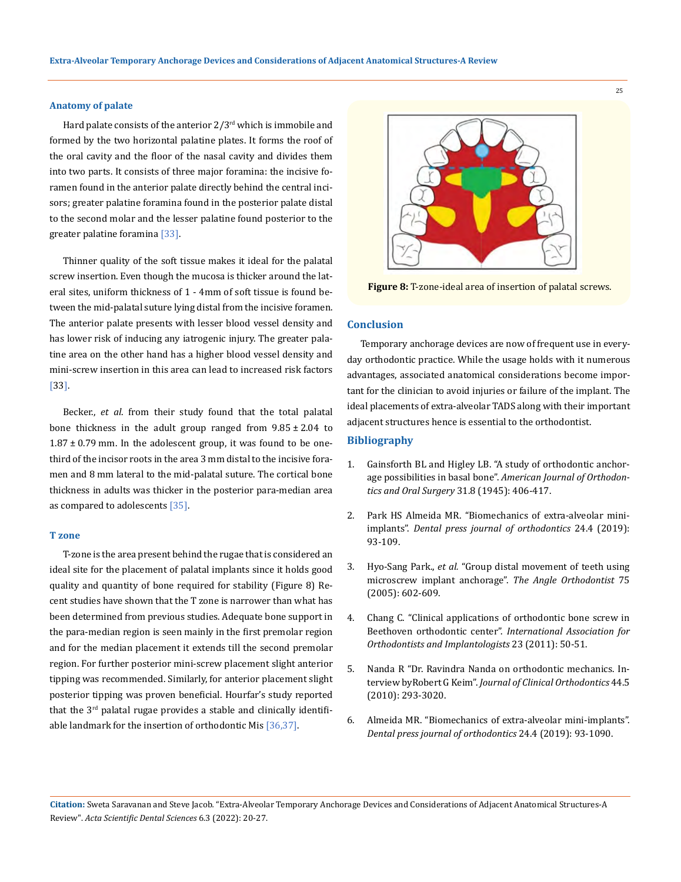#### **Anatomy of palate**

Hard palate consists of the anterior  $2/3^{rd}$  which is immobile and formed by the two horizontal palatine plates. It forms the roof of the oral cavity and the floor of the nasal cavity and divides them into two parts. It consists of three major foramina: the incisive foramen found in the anterior palate directly behind the central incisors; greater palatine foramina found in the posterior palate distal to the second molar and the lesser palatine found posterior to the greater palatine foramina [33].

Thinner quality of the soft tissue makes it ideal for the palatal screw insertion. Even though the mucosa is thicker around the lateral sites, uniform thickness of 1 - 4mm of soft tissue is found between the mid-palatal suture lying distal from the incisive foramen. The anterior palate presents with lesser blood vessel density and has lower risk of inducing any iatrogenic injury. The greater palatine area on the other hand has a higher blood vessel density and mini-screw insertion in this area can lead to increased risk factors [33].

Becker., *et al*. from their study found that the total palatal bone thickness in the adult group ranged from  $9.85 \pm 2.04$  to  $1.87 \pm 0.79$  mm. In the adolescent group, it was found to be onethird of the incisor roots in the area 3 mm distal to the incisive foramen and 8 mm lateral to the mid-palatal suture. The cortical bone thickness in adults was thicker in the posterior para-median area as compared to adolescents [35].

#### **T zone**

T-zone is the area present behind the rugae that is considered an ideal site for the placement of palatal implants since it holds good quality and quantity of bone required for stability (Figure 8) Recent studies have shown that the T zone is narrower than what has been determined from previous studies. Adequate bone support in the para-median region is seen mainly in the first premolar region and for the median placement it extends till the second premolar region. For further posterior mini-screw placement slight anterior tipping was recommended. Similarly, for anterior placement slight posterior tipping was proven beneficial. Hourfar's study reported that the  $3<sup>rd</sup>$  palatal rugae provides a stable and clinically identifiable landmark for the insertion of orthodontic Mis [36,37].



**Figure 8:** T-zone-ideal area of insertion of palatal screws.

# **Conclusion**

Temporary anchorage devices are now of frequent use in everyday orthodontic practice. While the usage holds with it numerous advantages, associated anatomical considerations become important for the clinician to avoid injuries or failure of the implant. The ideal placements of extra-alveolar TADS along with their important adjacent structures hence is essential to the orthodontist.

# **Bibliography**

- 1. [Gainsforth BL and Higley LB. "A study of orthodontic anchor](https://www.sciencedirect.com/science/article/abs/pii/0096634745900251)age possibilities in basal bone". *[American Journal of Orthodon](https://www.sciencedirect.com/science/article/abs/pii/0096634745900251)[tics and Oral Surgery](https://www.sciencedirect.com/science/article/abs/pii/0096634745900251)* 31.8 (1945): 406-417.
- 2. [Park HS Almeida MR. "Biomechanics of extra-alveolar mini](https://www.scielo.br/j/dpjo/a/7dyYTJnW7ktYhsRtf6LJXzs/?lang=en)implants". *[Dental press journal of](https://www.scielo.br/j/dpjo/a/7dyYTJnW7ktYhsRtf6LJXzs/?lang=en) orthodontics* 24.4 (2019): [93-109.](https://www.scielo.br/j/dpjo/a/7dyYTJnW7ktYhsRtf6LJXzs/?lang=en)
- 3. Hyo-Sang Park., *et al.* ["Group distal movement of teeth using](https://pubmed.ncbi.nlm.nih.gov/16097229/)  [microscrew implant anchorage".](https://pubmed.ncbi.nlm.nih.gov/16097229/) *The Angle Orthodontist* 75 [\(2005\): 602-609.](https://pubmed.ncbi.nlm.nih.gov/16097229/)
- 4. Chang C. "Clinical applications of orthodontic bone screw in Beethoven orthodontic center". *International Association for Orthodontists and Implantologists* 23 (2011): 50-51.
- 5. [Nanda R "Dr. Ravindra Nanda on orthodontic mechanics. In](https://pubmed.ncbi.nlm.nih.gov/20831098/)terview byRobert G Keim". *[Journal of Clinical Orthodontics](https://pubmed.ncbi.nlm.nih.gov/20831098/)* 44.5 [\(2010\): 293-3020.](https://pubmed.ncbi.nlm.nih.gov/20831098/)
- 6. [Almeida MR. "Biomechanics of extra-alveolar mini-implants".](https://pubmed.ncbi.nlm.nih.gov/31508712/)  *[Dental press journal of orthodontics](https://pubmed.ncbi.nlm.nih.gov/31508712/)* 24.4 (2019): 93-1090.

**Citation:** Sweta Saravanan and Steve Jacob*.* "Extra-Alveolar Temporary Anchorage Devices and Considerations of Adjacent Anatomical Structures-A Review". *Acta Scientific Dental Sciences* 6.3 (2022): 20-27.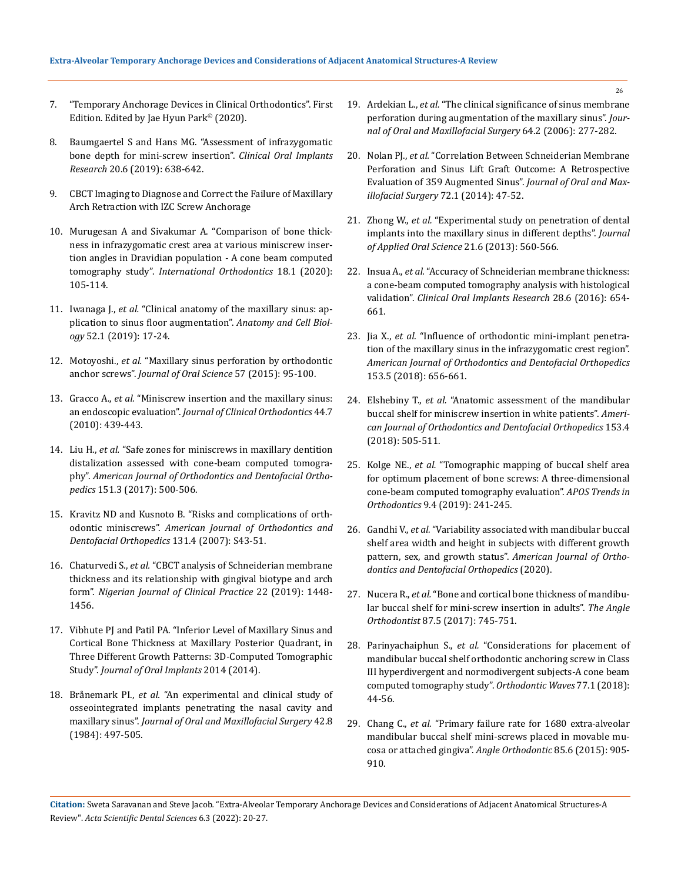- 7. ["Temporary Anchorage Devices in Clinical Orthodontics". First](https://onlinelibrary.wiley.com/doi/book/10.1002/9781119513636)  [Edition. Edited by Jae Hyun Park© \(2020\).](https://onlinelibrary.wiley.com/doi/book/10.1002/9781119513636)
- 8. [Baumgaertel S and Hans MG. "Assessment of infrazygomatic](https://pubmed.ncbi.nlm.nih.gov/19281501/)  [bone depth for mini-screw insertion".](https://pubmed.ncbi.nlm.nih.gov/19281501/) *Clinical Oral Implants Research* [20.6 \(2019\): 638-642.](https://pubmed.ncbi.nlm.nih.gov/19281501/)
- 9. [CBCT Imaging to Diagnose and Correct the Failure of Maxillary](http://iaoi.pro/asset/files/ijoi_35_pdf_article/004_017.pdf)  [Arch Retraction with IZC Screw Anchorage](http://iaoi.pro/asset/files/ijoi_35_pdf_article/004_017.pdf)
- 10. [Murugesan A and Sivakumar A. "Comparison of bone thick](https://pubmed.ncbi.nlm.ih.gov/31926867/)[ness in infrazygomatic crest area at various miniscrew inser](https://pubmed.ncbi.nlm.ih.gov/31926867/)[tion angles in Dravidian population](https://pubmed.ncbi.nlm.ih.gov/31926867/) - A cone beam computed tomography study". *[International Orthodontics](https://pubmed.ncbi.nlm.ih.gov/31926867/)* 18.1 (2020): [105-114.](https://pubmed.ncbi.nlm.ih.gov/31926867/)
- 11. Iwanaga J., *et al.* ["Clinical anatomy of the maxillary sinus: ap](https://www.ncbi.nlm.nih.gov/pmc/articles/PMC6449588/)[plication to sinus floor augmentation".](https://www.ncbi.nlm.nih.gov/pmc/articles/PMC6449588/) *Anatomy and Cell Biology* [52.1 \(2019\): 17-24.](https://www.ncbi.nlm.nih.gov/pmc/articles/PMC6449588/)
- 12. Motoyoshi., *et al.* ["Maxillary sinus perforation by orthodontic](https://pubmed.ncbi.nlm.nih.gov/26062857/)  anchor screws". *Journal of Oral Science* [57 \(2015\): 95-100.](https://pubmed.ncbi.nlm.nih.gov/26062857/)
- 13. Gracco A., *et al.* ["Miniscrew insertion and the maxillary sinus:](https://pubmed.ncbi.nlm.nih.gov/21038797/)  an endoscopic evaluation". *[Journal of Clinical Orthodontics](https://pubmed.ncbi.nlm.nih.gov/21038797/)* 44.7 [\(2010\): 439-443.](https://pubmed.ncbi.nlm.nih.gov/21038797/)
- 14. Liu H., *et al.* ["Safe zones for miniscrews in maxillary dentition](https://pubmed.ncbi.nlm.nih.gov/28257734/)  [distalization assessed with cone-beam computed tomogra](https://pubmed.ncbi.nlm.nih.gov/28257734/)phy". *[American Journal of Orthodontics and Dentofacial Ortho](https://pubmed.ncbi.nlm.nih.gov/28257734/)pedics* [151.3 \(2017\): 500-506.](https://pubmed.ncbi.nlm.nih.gov/28257734/)
- 15. [Kravitz ND and Kusnoto B. "Risks and complications of orth](https://pubmed.ncbi.nlm.nih.gov/17448385/)odontic miniscrews". *American Journal [of Orthodontics and](https://pubmed.ncbi.nlm.nih.gov/17448385/)  [Dentofacial Orthopedics](https://pubmed.ncbi.nlm.nih.gov/17448385/)* 131.4 (2007): S43-51.
- 16. Chaturvedi S., *et al.* ["CBCT analysis of Schneiderian membrane](https://pubmed.ncbi.nlm.nih.gov/31607738/)  [thickness and its relationship with gingival biotype and arch](https://pubmed.ncbi.nlm.nih.gov/31607738/)  form". *[Nigerian Journal of Clinical Practice](https://pubmed.ncbi.nlm.nih.gov/31607738/)* 22 (2019): 1448- [1456.](https://pubmed.ncbi.nlm.nih.gov/31607738/)
- 17. [Vibhute PJ and Patil PA. "Inferior Level of Maxillary Sinus and](https://www.hindawi.com/journals/joi/2014/870193/)  [Cortical Bone Thickness at Maxillary Posterior Quadrant, in](https://www.hindawi.com/journals/joi/2014/870193/)  [Three Different Growth Patterns: 3D-Computed Tomographic](https://www.hindawi.com/journals/joi/2014/870193/)  Study". *[Journal of Oral Implants](https://www.hindawi.com/journals/joi/2014/870193/)* 2014 (2014).
- 18. Brånemark PI., *et al.* ["An experimental and clinical study of](https://pubmed.ncbi.nlm.nih.gov/6588167/)  [osseointegrated implants penetrating the nasal cavity and](https://pubmed.ncbi.nlm.nih.gov/6588167/)  maxillary sinus". *[Journal of Oral and Maxillofacial Surgery](https://pubmed.ncbi.nlm.nih.gov/6588167/)* 42.8 [\(1984\): 497-505.](https://pubmed.ncbi.nlm.nih.gov/6588167/)
- 19. Ardekian L., *et al.* ["The clinical significance of sinus membrane](https://pubmed.ncbi.nlm.nih.gov/16413901/)  [perforation during augmentation of the maxillary sinus".](https://pubmed.ncbi.nlm.nih.gov/16413901/) *Jour[nal of Oral and Maxillofacial Surgery](https://pubmed.ncbi.nlm.nih.gov/16413901/)* 64.2 (2006): 277-282.
- 20. Nolan PJ., *et al.* ["Correlation Between Schneiderian Membrane](https://pubmed.ncbi.nlm.nih.gov/24071378/)  [Perforation and Sinus Lift Graft Outcome: A Retrospective](https://pubmed.ncbi.nlm.nih.gov/24071378/)  [Evaluation of 359 Augmented Sinus".](https://pubmed.ncbi.nlm.nih.gov/24071378/) *Journal of Oral and Maxillofacial Surgery* [72.1 \(2014\): 47-52.](https://pubmed.ncbi.nlm.nih.gov/24071378/)
- 21. Zhong W., *et al.* ["Experimental study on penetration of dental](https://pubmed.ncbi.nlm.nih.gov/24473723/)  [implants into the maxillary sinus in different depths".](https://pubmed.ncbi.nlm.nih.gov/24473723/) *Journal [of Applied Oral Science](https://pubmed.ncbi.nlm.nih.gov/24473723/)* 21.6 (2013): 560-566.
- 22. Insua A., *et al.* ["Accuracy of Schneiderian membrane thickness:](https://pubmed.ncbi.nlm.nih.gov/27140833/)  [a cone-beam computed tomography analysis with histological](https://pubmed.ncbi.nlm.nih.gov/27140833/)  validation". *[Clinical Oral Implants Research](https://pubmed.ncbi.nlm.nih.gov/27140833/)* 28.6 (2016): 654- [661.](https://pubmed.ncbi.nlm.nih.gov/27140833/)
- 23. Jia X., *et al.* ["Influence of orthodontic mini-implant penetra](https://pubmed.ncbi.nlm.nih.gov/29706213/)[tion of the maxillary sinus in the infrazygomatic crest region".](https://pubmed.ncbi.nlm.nih.gov/29706213/)  *[American Journal of Orthodontics and Dentofacial Orthopedics](https://pubmed.ncbi.nlm.nih.gov/29706213/)* [153.5 \(2018\): 656-661.](https://pubmed.ncbi.nlm.nih.gov/29706213/)
- 24. Elshebiny T., *et al.* ["Anatomic assessment of the mandibular](https://pubmed.ncbi.nlm.nih.gov/29602342/)  [buccal shelf for miniscrew insertion in white patients".](https://pubmed.ncbi.nlm.nih.gov/29602342/) *Ameri[can Journal of Orthodontics and Dentofacial Orthopedics](https://pubmed.ncbi.nlm.nih.gov/29602342/)* 153.4 [\(2018\): 505-511.](https://pubmed.ncbi.nlm.nih.gov/29602342/)
- 25. Kolge NE., *et al.* ["Tomographic mapping of buccal shelf area](https://apospublications.com/tomographic-mapping-of-buccal-shelf-area-for-optimum-placement-of-bone-screws-a-three-dimensional-cone-beam-computed-tomography-evaluation/)  [for optimum placement of bone screws: A three-dimensional](https://apospublications.com/tomographic-mapping-of-buccal-shelf-area-for-optimum-placement-of-bone-screws-a-three-dimensional-cone-beam-computed-tomography-evaluation/)  [cone-beam computed tomography evaluation".](https://apospublications.com/tomographic-mapping-of-buccal-shelf-area-for-optimum-placement-of-bone-screws-a-three-dimensional-cone-beam-computed-tomography-evaluation/) *APOS Trends in Orthodontics* [9.4 \(2019\): 241-245.](https://apospublications.com/tomographic-mapping-of-buccal-shelf-area-for-optimum-placement-of-bone-screws-a-three-dimensional-cone-beam-computed-tomography-evaluation/)
- 26. Gandhi V., *et al.* ["Variability associated with mandibular buccal](https://pubmed.ncbi.nlm.nih.gov/33221093/)  [shelf area width and height in subjects with different growth](https://pubmed.ncbi.nlm.nih.gov/33221093/)  [pattern, sex, and growth status".](https://pubmed.ncbi.nlm.nih.gov/33221093/) *American Journal of Orthodontics [and Dentofacial Orthopedics](https://pubmed.ncbi.nlm.nih.gov/33221093/)* (2020).
- 27. Nucera R., *et al.* ["Bone and cortical bone thickness of mandibu](https://pubmed.ncbi.nlm.nih.gov/28598220/)[lar buccal shelf for mini-screw insertion in adults".](https://pubmed.ncbi.nlm.nih.gov/28598220/) *The Angle Orthodontist* [87.5 \(2017\): 745-751.](https://pubmed.ncbi.nlm.nih.gov/28598220/)
- 28. Parinyachaiphun S., *et al.* ["Considerations for placement of](https://www.sciencedirect.com/science/article/abs/pii/S1344024117302108)  [mandibular buccal shelf orthodontic anchoring screw in Class](https://www.sciencedirect.com/science/article/abs/pii/S1344024117302108)  [III hyperdivergent and normodivergent subjects-A cone beam](https://www.sciencedirect.com/science/article/abs/pii/S1344024117302108)  [computed tomography study".](https://www.sciencedirect.com/science/article/abs/pii/S1344024117302108) *Orthodontic Waves* 77.1 (2018): [44-56.](https://www.sciencedirect.com/science/article/abs/pii/S1344024117302108)
- 29. Chang C., *et al.* ["Primary failure rate for 1680 extra-alveolar](https://pubmed.ncbi.nlm.nih.gov/25603272/)  [mandibular buccal shelf mini-screws placed in movable mu](https://pubmed.ncbi.nlm.nih.gov/25603272/)[cosa or attached gingiva".](https://pubmed.ncbi.nlm.nih.gov/25603272/) *Angle Orthodontic* 85.6 (2015): 905- [910.](https://pubmed.ncbi.nlm.nih.gov/25603272/)

**Citation:** Sweta Saravanan and Steve Jacob*.* "Extra-Alveolar Temporary Anchorage Devices and Considerations of Adjacent Anatomical Structures-A Review". *Acta Scientific Dental Sciences* 6.3 (2022): 20-27.